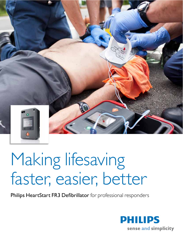

## Making lifesaving faster, easier, better

Philips HeartStart FR3 Defibrillator for professional responders

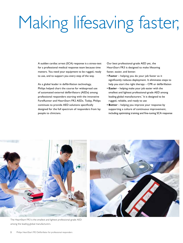# Making lifesaving faster,

A sudden cardiac arrest (SCA) response is a stress-test for a professional medical response team because time matters. You need your equipment to be rugged, ready to use, and to support you every step of the way.

As a global leader in defibrillation technology, Philips helped chart the course for widespread use of automated external defibrillators (AEDs) among professional responders starting with the innovative ForeRunner and HeartStart FR2 AEDs. Today, Philips continues to provide AED solutions specifically designed for the full spectrum of responders from lay people to clinicians.

Our best professional-grade AED yet, the HeartStart FR3 is designed to make lifesaving faster, easier, and better.

- Faster helping you do your job faster as it significantly reduces deployment. It eliminates steps to help you start the right therapy - CPR or defibrillation
- Easier helping make your job easier with the smallest and lightest professional-grade AED among leading global manufacturers.<sup>\*</sup> It is designed to be rugged, reliable, and ready to use
- Better helping you improve your response by supporting a culture of continuous improvement, including optimizing training and fine-tuning SCA response



The HeartStart FR3 is the smallest and lightest professional-grade AED among the leading global manufacturers.

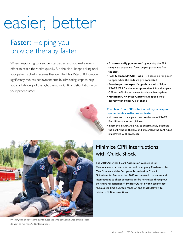## easier, better

### Faster: Helping you provide therapy faster

When responding to a sudden cardiac arrest, you make every effort to reach the victim quickly. But the clock keeps ticking until your patient actually receives therapy. The HeartStart FR3 solution significantly reduces deployment time by eliminating steps to help you start delivery of the right therapy - CPR or defibrillation - on your patient faster.

- Automatically powers on\*\* by opening the FR3 carry case so you can focus on pad placement from the start
- . Peel & place SMART Pads III. There's no foil pouch to open when the pads are pre-connected
- Receive patient-specific guidance with Philips SMART CPR for the most appropriate initial therapy -CPR or defibrillation - even for shockable rhythms
- Minimize CPR interruptions and speed shock delivery with Philips Quick Shock

### The HeartStart FR3 solution helps you respond to a pediatric cardiac arrest faster

- . No need to change pads. Just use the same SMART Pads III for adults and children
- . Insert the Infant/Child Key to automatically decrease the defibrillation therapy and implement the configured infant/child CPR protocols

### **Minimize CPR interruptions** with Quick Shock

The 2010 American Heart Association Guidelines for Cardiopulmonary Resuscitation and Emergency Cardiovascular Care Science and the European Resuscitation Council Guidelines for Resuscitation 2010 recommend that delays and interruptions to chest compressions be minimized throughout the entire resuscitation.<sup>1,2</sup> Philips Quick Shock technology reduces the time between hands-off and shock delivery to minimize CPR interruptions.



Philips Quick Shock technology reduces the time between hands-off and shock delivery to minimize CPR interruptions.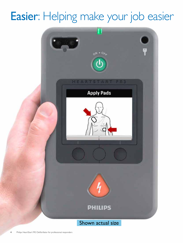## Easier: Helping make your job easier

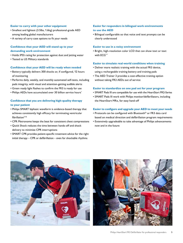### Easier to carry with your other equipment

- · Smallest and lightest (3.5lbs, 1.6kg) professional-grade AED among leading global manufacturers
- A variety of carry case options to fit your needs

### Confidence that your AED will stand up to your demanding work environment

- Holds IP55 rating for protection against dust and jetting water
- Tested to US Military standards

#### Confidence that your AED will be ready when needed

- Battery typically delivers 300 shocks or, if configured, 12 hours of monitoring
- Performs daily, weekly, and monthly automated self-tests, including pads integrity, with visual and attention-getting audible alerts
- Green ready light flashes to confirm the FR3 is ready for use
- Philips AEDs have accumulated over 30 billion service hours\*

### Confidence that you are delivering high-quality therapy to your patient

- Philips SMART biphasic waveform is evidence-based therapy that achieves consistently high efficacy for terminating ventricular  $fibrillation<sup>3-16</sup>$
- CPR Metronome keeps the beat for consistent chest compressions
- Quick Shock reduces the time between hands-off and shock delivery to minimize CPR interruptions
- SMART CPR provides patient-specific treatment advice for the right initial therapy - CPR or defibrillation - even for shockable rhythms

### Easier for responders in bilingual work environments to use the AED

• Bilingual configurable so that voice and text prompts can be clearly understood

### Easier to use in a noisy environment

• Bright, high-resolution color LCD that can show text or text with  $ECG^{***}$ 

### Easier to simulate real-world conditions when training

- Deliver more realistic training with the actual FR3 device. using a rechargeable training battery and training pads
- The AED Trainer 3 provides a cost-effective training option without taking FR3 AEDs out of service

#### Easier to standardize on one pad set for your program

- SMART Pads III are compatible for use with the HeartStart FR2-Series
- SMART Pads III work with Philips monitor/defibrillators, including the HeartStart MRx, for easy hand-off

### Easier to configure and upgrade your AED to meet your needs

- Protocols can be configured with Bluetooth® or FR3 data card based on medical direction and defibrillation program requirements
- Extensively upgradeable to take advantage of Philips advancements now and in the future



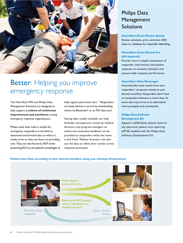

### Better: Helping you improve emergency response

The HeartStart FR3 and Philips Data Management Solutions are designed to help support a culture of continuous improvement and excellence among emergency response organizations.

Philips tools help make it simple for emergency responders in the field to download and forward data to where it needs to be so they can focus on providing care. They can even forward a PDF of the presenting ECG to the patient's cardiologist to help support post-event care.\*\*\* Responders can keep devices in service by downloading events via Bluetooth<sup>®</sup> or an FR3 data card.

Having data readily available can help facilitate retrospective review by medical directors and program managers so timely and consistent feedback can be provided to responders while the event is still fresh. Medical directors can also use the data to refine their cardiac arrest response protocols.

### **Philips Data** Management Solutions

**HeartStart Event Review (basic)** Review, annotate, print, and store AED cases in a database for responder debriefing.

### **HeartStart Event Review Pro** (full featured)

Provide more in-depth assessment of responder intervention and patient response to evaluate individual and system-wide response performance.

### **HeartStart Data Messenger**

Automatically route events from your responders' computers based on your desired workflow. Responders don't have to manipulate software to move data. So event data may arrive at its destination more promptly and consistently.

### **Philips Data Software Development Kit**

Append a defibrillator patient event to any electronic patient care reporting (ePCR) enabled with the Philips Data Software Development Kit.

### Patient data flows according to your desired workflow using your existing infrastructure



Provide timely feedback

Help support post-event care

Easily send AED patient case to headquarters, medical director

> Store, access. review



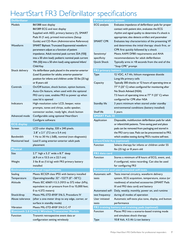### **HeartStart FR3 Defibrillator specifications**

| Models             | 861388 text display                                                      |
|--------------------|--------------------------------------------------------------------------|
|                    | 861389 ECG and text display                                              |
|                    | Supplied with AED, primary battery (1), SMART                            |
|                    | Pads III (1 set), printed instructions (Setup                            |
|                    | Guide) and CD-Rom (Administrative Reference)                             |
| Waveform           | SMART Biphasic Truncated Exponential waveform                            |
|                    | parameters adjust as a function of patient                               |
|                    | impedance. Adult nominal peak current 32A (150J                          |
|                    | into a 50 ohm load): pediatric nominal peak current                      |
|                    | 19A (50J into a 50 ohm load) using optional Infant/                      |
|                    | Child Key                                                                |
| Shock delivery     | Via defibrillator pads placed in the anterior-anterior                   |
|                    | (Lead II) position for adults; anterior-posterior                        |
|                    | position for infants and children under 55 lbs (25 kg)                   |
|                    | or 8 years old                                                           |
| Controls           | On/Off button, shock button, option buttons.                             |
|                    | Auto-On feature, when used with the optional                             |
|                    | FR3 carry case, enables FR3 to power up when                             |
|                    | case lid is opened                                                       |
| Indicators         | High-resolution color LCD, beeper, voice                                 |
|                    | prompts, tones and chirps, audio speaker,                                |
|                    | connector socket, ready light, shock button                              |
| Advanced mode      | Configurable using optional HeartStart                                   |
|                    | Configure software                                                       |
| <b>ECG</b> display |                                                                          |
| Screen             | LCD color display, 320 x 240 pixels.                                     |
|                    |                                                                          |
|                    | $2.8'' \times 2.1''$ (7.2 cm $\times$ 5.4 cm)                            |
| <b>Bandwidth</b>   | 1 Hz to 30 Hz (-3dB), nominal (non-diagnostic)                           |
| Monitored lead     | Lead II using anterior-anterior adult pads                               |
|                    | placement                                                                |
| <b>Physical</b>    |                                                                          |
| Size               | $2.7$ " high x $5.3$ " wide x $8.7$ " deep                               |
|                    | (6.9 cm x 13.5 cm x 22.1 cm)                                             |
| Weight             | 3 lbs 8 oz (1.6 kg) with FR3 primary battery                             |
|                    | installed                                                                |
|                    | <b>Environmental/physical requirements</b>                               |
| Sealing            | Meets IEC529 class IP55 with battery installed                           |
| Temperature        | Operating/standby: 32°-122°F (0°-50°C)                                   |
| Altitude           | Meets IEC 60601-1:5.3 (1013 to 572 mbar (hPa),                           |
|                    | equivalent to air pressure from 0 to 15,000 feet;                        |
|                    | 0 to 4,572 meters)                                                       |
| Shock/drop         | Meets MIL-STD-810F 516.5, Procedure IV                                   |
| Abuse tolerance    | (after a one-meter drop to any edge, corner, or                          |
|                    | surface in standby mode)                                                 |
| Vibration          | Meets MIL-STD-810F 514.5 C-17                                            |
|                    | <b>Bluetooth 2.0 Class II Wireless Transceiver Module</b>                |
| <b>Function</b>    | Transmit retrospective event data or<br>configuration setting wirelessly |

#### **Patient analysis system ECG** analysis Evaluates impedance of defibrillator pads for proper contact with patient skin, evaluates the ECG rhythm and signal quality to determine if a shock is appropriate; also detects artifact and pacemaker **SMART CPR** Evaluates key characteristics of the presenting VF and determines the initial therapy: shock first, or CPR first quickly followed by a shock Sensitivity/ Meets AAMI DF80 requirements and AHA specificity recommendations for adult defibrillation Quick Shock Typically arms in <8 seconds from the end of the "Stop CPR" prompt **FR3 primary battery** Type 12 VDC, 4.7 Ah, lithium manganese dioxide Long-life primary cells Typically 300 shocks or 12 hours of operating time at Capacity 77° F (25° C) when configured for monitoring after No Shock Advised (NSA) 7.5 hours of operating time at 77° F (25° C) when configured for CPR after NSA **Standby life** 3 years minimum when stored under standby environmental conditions (battery installed) Shelf life 5 years **SMART Pads III** Application Disposable, multifunction defibrillation pads for adult or infant/child patients. Time-saving peel and place pads can be removed from packaging and stored in the FR3 carry case. Pads can be preconnected to FR3, which enables testing during FR3's routine self-test. **Infant/Child Key (optional)** Function Selects therapy for infants or children under 55 lbs (25 kg) or 8 years old **FR3** data card Function Stores a minimum of 8 hours of ECG, event, and, if configured, voice recording. Can also be used for configuring FR3 **Automated and user-activated self-tests** Tests internal circuitry, waveform delivery Automatic selftests system, ECG acquisition, temperature, status (or readiness) of attached accessories (SMART Pads III and FR3 data card) and battery Automated self- Daily, weekly, monthly, power on, and runtime during all modes of operation test frequency User initiated Automatic self-tests plus tone, display, and button tests performance FR3 training battery and training pads (optional) Places FR3 into a scenario-based training mode Function and simulates shock therapy

10.8 Volt, 4.5 Ah Li-ion battery

Type